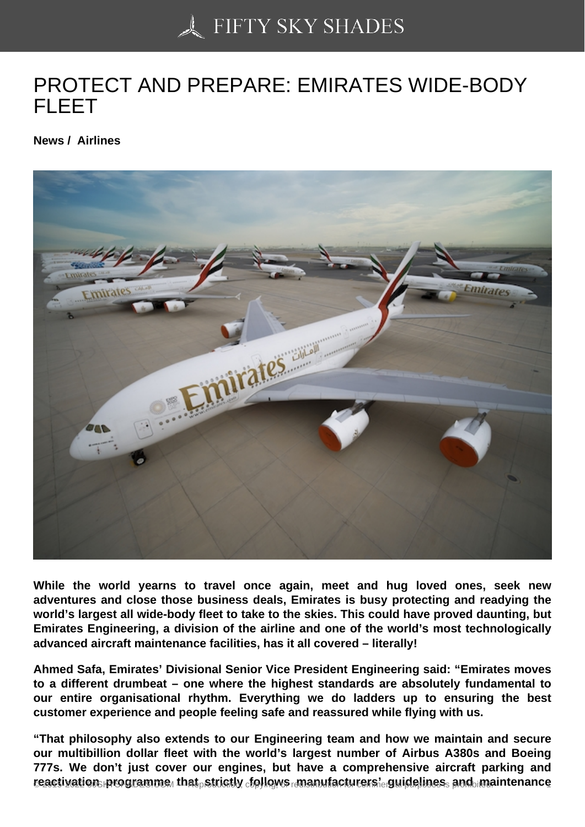# [PROTECT AND PREP](https://50skyshades.com)ARE: EMIRATES WIDE-BODY FLEET

News / Airlines

While the world yearns to travel once again, meet and hug loved ones, seek new adventures and close those business deals, Emirates is busy protecting and readying the world's largest all wide-body fleet to take to the skies. This could have proved daunting, but Emirates Engineering, a division of the airline and one of the world's most technologically advanced aircraft maintenance facilities, has it all covered – literally!

Ahmed Safa, Emirates' Divisional Senior Vice President Engineering said: "Emirates moves to a different drumbeat – one where the highest standards are absolutely fundamental to our entire organisational rhythm. Everything we do ladders up to ensuring the best customer experience and people feeling safe and reassured while flying with us.

"That philosophy also extends to our Engineering team and how we maintain and secure our multibillion dollar fleet with the world's largest number of Airbus A380s and Boeing 777s. We don't just cover our engines, but have a comprehensive aircraft parking and  $\epsilon$ eactivation programme that  $\epsilon$ strictly  $\epsilon$ iollows manufacturers' guidelines rands. Maintenance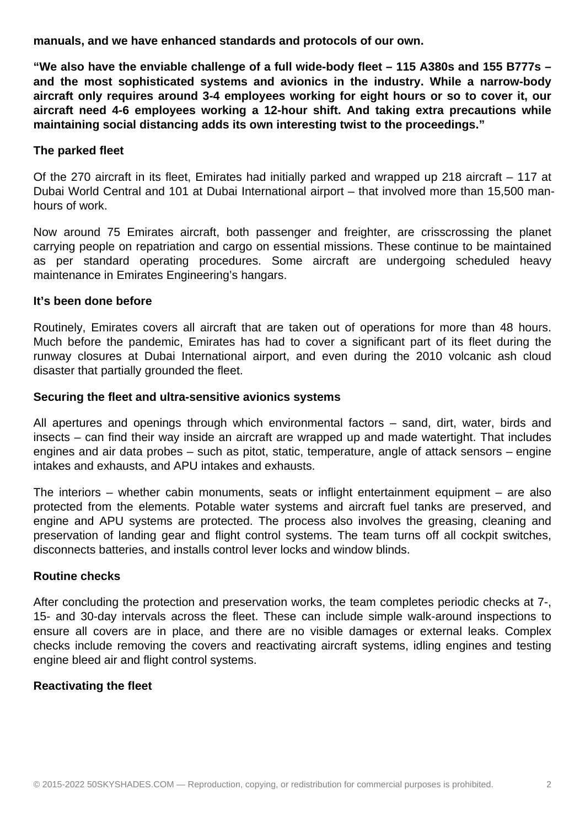**manuals, and we have enhanced standards and protocols of our own.**

**"We also have the enviable challenge of a full wide-body fleet – 115 A380s and 155 B777s – and the most sophisticated systems and avionics in the industry. While a narrow-body aircraft only requires around 3-4 employees working for eight hours or so to cover it, our aircraft need 4-6 employees working a 12-hour shift. And taking extra precautions while maintaining social distancing adds its own interesting twist to the proceedings."**

## **The parked fleet**

Of the 270 aircraft in its fleet, Emirates had initially parked and wrapped up 218 aircraft – 117 at Dubai World Central and 101 at Dubai International airport – that involved more than 15,500 manhours of work.

Now around 75 Emirates aircraft, both passenger and freighter, are crisscrossing the planet carrying people on repatriation and cargo on essential missions. These continue to be maintained as per standard operating procedures. Some aircraft are undergoing scheduled heavy maintenance in Emirates Engineering's hangars.

### **It's been done before**

Routinely, Emirates covers all aircraft that are taken out of operations for more than 48 hours. Much before the pandemic, Emirates has had to cover a significant part of its fleet during the runway closures at Dubai International airport, and even during the 2010 volcanic ash cloud disaster that partially grounded the fleet.

### **Securing the fleet and ultra-sensitive avionics systems**

All apertures and openings through which environmental factors – sand, dirt, water, birds and insects – can find their way inside an aircraft are wrapped up and made watertight. That includes engines and air data probes – such as pitot, static, temperature, angle of attack sensors – engine intakes and exhausts, and APU intakes and exhausts.

The interiors – whether cabin monuments, seats or inflight entertainment equipment – are also protected from the elements. Potable water systems and aircraft fuel tanks are preserved, and engine and APU systems are protected. The process also involves the greasing, cleaning and preservation of landing gear and flight control systems. The team turns off all cockpit switches, disconnects batteries, and installs control lever locks and window blinds.

## **Routine checks**

After concluding the protection and preservation works, the team completes periodic checks at 7-, 15- and 30-day intervals across the fleet. These can include simple walk-around inspections to ensure all covers are in place, and there are no visible damages or external leaks. Complex checks include removing the covers and reactivating aircraft systems, idling engines and testing engine bleed air and flight control systems.

#### **Reactivating the fleet**